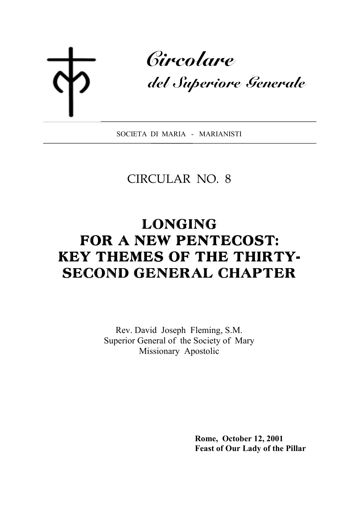Circolare

del Superiore Generale

SOCIETA DI MARIA - MARIANISTI

# CIRCULAR NO. 8

# LONGING FOR A NEW PENTECOST: KEY THEMES OF THE THIRTY-SECOND GENERAL CHAPTER

Rev. David Joseph Fleming, S.M. Superior General of the Society of Mary Missionary Apostolic

> **Rome, October 12, 2001 Feast of Our Lady of the Pillar**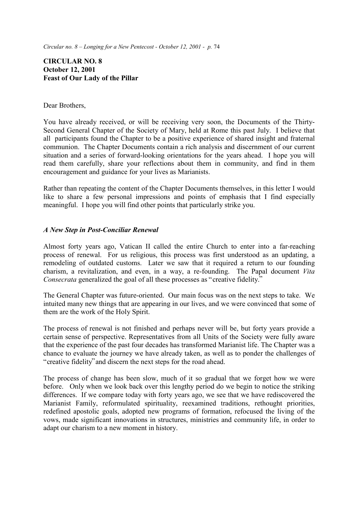# **CIRCULAR NO. 8 October 12, 2001 Feast of Our Lady of the Pillar**

#### Dear Brothers,

You have already received, or will be receiving very soon, the Documents of the Thirty-Second General Chapter of the Society of Mary, held at Rome this past July. I believe that all participants found the Chapter to be a positive experience of shared insight and fraternal communion. The Chapter Documents contain a rich analysis and discernment of our current situation and a series of forward-looking orientations for the years ahead. I hope you will read them carefully, share your reflections about them in community, and find in them encouragement and guidance for your lives as Marianists.

Rather than repeating the content of the Chapter Documents themselves, in this letter I would like to share a few personal impressions and points of emphasis that I find especially meaningful. I hope you will find other points that particularly strike you.

# *A New Step in Post-Conciliar Renewal*

Almost forty years ago, Vatican II called the entire Church to enter into a far-reaching process of renewal. For us religious, this process was first understood as an updating, a remodeling of outdated customs. Later we saw that it required a return to our founding charism, a revitalization, and even, in a way, a re-founding. The Papal document *Vita Consecrata* generalized the goal of all these processes as "creative fidelity."

The General Chapter was future-oriented. Our main focus was on the next steps to take. We intuited many new things that are appearing in our lives, and we were convinced that some of them are the work of the Holy Spirit.

The process of renewal is not finished and perhaps never will be, but forty years provide a certain sense of perspective. Representatives from all Units of the Society were fully aware that the experience of the past four decades has transformed Marianist life. The Chapter was a chance to evaluate the journey we have already taken, as well as to ponder the challenges of "creative fidelity" and discern the next steps for the road ahead.

The process of change has been slow, much of it so gradual that we forget how we were before. Only when we look back over this lengthy period do we begin to notice the striking differences. If we compare today with forty years ago, we see that we have rediscovered the Marianist Family, reformulated spirituality, reexamined traditions, rethought priorities, redefined apostolic goals, adopted new programs of formation, refocused the living of the vows, made significant innovations in structures, ministries and community life, in order to adapt our charism to a new moment in history.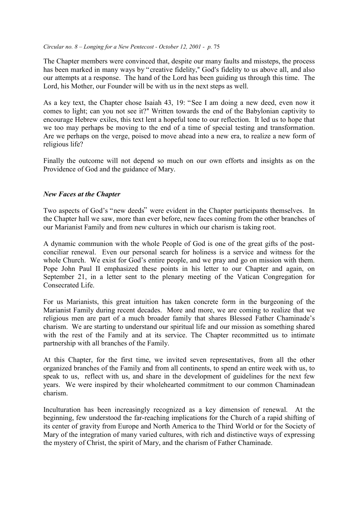The Chapter members were convinced that, despite our many faults and missteps, the process has been marked in many ways by "creative fidelity," God's fidelity to us above all, and also our attempts at a response. The hand of the Lord has been guiding us through this time. The Lord, his Mother, our Founder will be with us in the next steps as well.

As a key text, the Chapter chose Isaiah 43, 19: "See I am doing a new deed, even now it comes to light; can you not see it?" Written towards the end of the Babylonian captivity to encourage Hebrew exiles, this text lent a hopeful tone to our reflection. It led us to hope that we too may perhaps be moving to the end of a time of special testing and transformation. Are we perhaps on the verge, poised to move ahead into a new era, to realize a new form of religious life?

Finally the outcome will not depend so much on our own efforts and insights as on the Providence of God and the guidance of Mary.

#### *New Faces at the Chapter*

Two aspects of God's "new deeds" were evident in the Chapter participants themselves. In the Chapter hall we saw, more than ever before, new faces coming from the other branches of our Marianist Family and from new cultures in which our charism is taking root.

A dynamic communion with the whole People of God is one of the great gifts of the postconciliar renewal. Even our personal search for holiness is a service and witness for the whole Church. We exist for God's entire people, and we pray and go on mission with them. Pope John Paul II emphasized these points in his letter to our Chapter and again, on September 21, in a letter sent to the plenary meeting of the Vatican Congregation for Consecrated Life.

For us Marianists, this great intuition has taken concrete form in the burgeoning of the Marianist Family during recent decades. More and more, we are coming to realize that we religious men are part of a much broader family that shares Blessed Father Chaminade's charism. We are starting to understand our spiritual life and our mission as something shared with the rest of the Family and at its service. The Chapter recommitted us to intimate partnership with all branches of the Family.

At this Chapter, for the first time, we invited seven representatives, from all the other organized branches of the Family and from all continents, to spend an entire week with us, to speak to us, reflect with us, and share in the development of guidelines for the next few years. We were inspired by their wholehearted commitment to our common Chaminadean charism.

Inculturation has been increasingly recognized as a key dimension of renewal. At the beginning, few understood the far-reaching implications for the Church of a rapid shifting of its center of gravity from Europe and North America to the Third World or for the Society of Mary of the integration of many varied cultures, with rich and distinctive ways of expressing the mystery of Christ, the spirit of Mary, and the charism of Father Chaminade.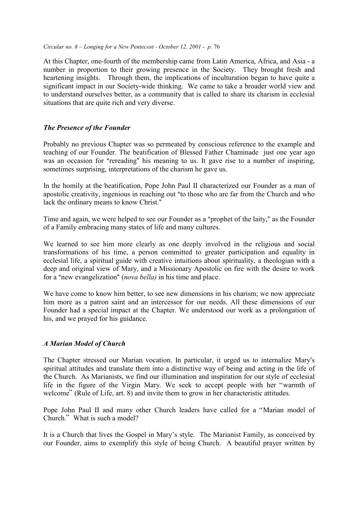At this Chapter, one-fourth of the membership came from Latin America, Africa, and Asia - a number in proportion to their growing presence in the Society. They brought fresh and heartening insights. Through them, the implications of inculturation began to have quite a significant impact in our Society-wide thinking. We came to take a broader world view and to understand ourselves better, as a community that is called to share its charism in ecclesial situations that are quite rich and very diverse.

# *The Presence of the Founder*

Probably no previous Chapter was so permeated by conscious reference to the example and teaching of our Founder. The beatification of Blessed Father Chaminade just one year ago was an occasion for "rereading" his meaning to us. It gave rise to a number of inspiring, sometimes surprising, interpretations of the charism he gave us.

In the homily at the beatification, Pope John Paul II characterized our Founder as a man of apostolic creativity, ingenious in reaching out "to those who are far from the Church and who lack the ordinary means to know Christ."

Time and again, we were helped to see our Founder as a "prophet of the laity," as the Founder of a Family embracing many states of life and many cultures.

We learned to see him more clearly as one deeply involved in the religious and social transformations of his time, a person committed to greater participation and equality in ecclesial life, a spiritual guide with creative intuitions about spirituality, a theologian with a deep and original view of Mary, and a Missionary Apostolic on fire with the desire to work for a "new evangelization" (*nova bella*) in his time and place.

We have come to know him better, to see new dimensions in his charism; we now appreciate him more as a patron saint and an intercessor for our needs. All these dimensions of our Founder had a special impact at the Chapter. We understood our work as a prolongation of his, and we prayed for his guidance.

# *A Marian Model of Church*

The Chapter stressed our Marian vocation. In particular, it urged us to internalize Mary's spiritual attitudes and translate them into a distinctive way of being and acting in the life of the Church. As Marianists, we find our illumination and inspiration for our style of ecclesial life in the figure of the Virgin Mary. We seek to accept people with her "warmth of welcome" (Rule of Life, art. 8) and invite them to grow in her characteristic attitudes.

Pope John Paul II and many other Church leaders have called for a "Marian model of Church.<sup>3</sup> What is such a model?

It is a Church that lives the Gospel in Mary's style. The Marianist Family, as conceived by our Founder, aims to exemplify this style of being Church. A beautiful prayer written by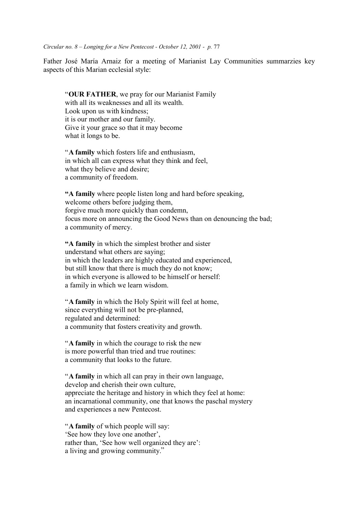Father José María Arnaiz for a meeting of Marianist Lay Communities summarzies key aspects of this Marian ecclesial style:

ì**OUR FATHER**, we pray for our Marianist Family with all its weaknesses and all its wealth. Look upon us with kindness; it is our mother and our family. Give it your grace so that it may become what it longs to be.

ì**A family** which fosters life and enthusiasm, in which all can express what they think and feel, what they believe and desire; a community of freedom.

**<sup>4</sup>A family** where people listen long and hard before speaking, welcome others before judging them, forgive much more quickly than condemn, focus more on announcing the Good News than on denouncing the bad; a community of mercy.

**<sup>4</sup>A family** in which the simplest brother and sister understand what others are saying; in which the leaders are highly educated and experienced, but still know that there is much they do not know; in which everyone is allowed to be himself or herself: a family in which we learn wisdom.

ì**A family** in which the Holy Spirit will feel at home, since everything will not be pre-planned, regulated and determined: a community that fosters creativity and growth.

ì**A family** in which the courage to risk the new is more powerful than tried and true routines: a community that looks to the future.

ì**A family** in which all can pray in their own language, develop and cherish their own culture, appreciate the heritage and history in which they feel at home: an incarnational community, one that knows the paschal mystery and experiences a new Pentecost.

**A family** of which people will say: See how they love one another<sup>'</sup>, rather than, 'See how well organized they are': a living and growing community."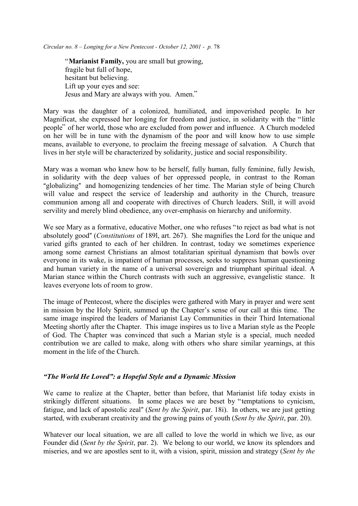ì**Marianist Family,** you are small but growing, fragile but full of hope, hesitant but believing. Lift up your eyes and see: Jesus and Mary are always with you. Amen."

Mary was the daughter of a colonized, humiliated, and impoverished people. In her Magnificat, she expressed her longing for freedom and justice, in solidarity with the "little" people" of her world, those who are excluded from power and influence. A Church modeled on her will be in tune with the dynamism of the poor and will know how to use simple means, available to everyone, to proclaim the freeing message of salvation. A Church that lives in her style will be characterized by solidarity, justice and social responsibility.

Mary was a woman who knew how to be herself, fully human, fully feminine, fully Jewish, in solidarity with the deep values of her oppressed people, in contrast to the Roman "globalizing" and homogenizing tendencies of her time. The Marian style of being Church will value and respect the service of leadership and authority in the Church, treasure communion among all and cooperate with directives of Church leaders. Still, it will avoid servility and merely blind obedience, any over-emphasis on hierarchy and uniformity.

We see Mary as a formative, educative Mother, one who refuses "to reject as bad what is not absolutely good" (*Constitutions* of 1891, art. 267). She magnifies the Lord for the unique and varied gifts granted to each of her children. In contrast, today we sometimes experience among some earnest Christians an almost totalitarian spiritual dynamism that bowls over everyone in its wake, is impatient of human processes, seeks to suppress human questioning and human variety in the name of a universal sovereign and triumphant spiritual ideal. A Marian stance within the Church contrasts with such an aggressive, evangelistic stance. It leaves everyone lots of room to grow.

The image of Pentecost, where the disciples were gathered with Mary in prayer and were sent in mission by the Holy Spirit, summed up the Chapter's sense of our call at this time. The same image inspired the leaders of Marianist Lay Communities in their Third International Meeting shortly after the Chapter. This image inspires us to live a Marian style as the People of God. The Chapter was convinced that such a Marian style is a special, much needed contribution we are called to make, along with others who share similar yearnings, at this moment in the life of the Church.

# *ìThe World He Lovedî: a Hopeful Style and a Dynamic Mission*

We came to realize at the Chapter, better than before, that Marianist life today exists in strikingly different situations. In some places we are beset by "temptations to cynicism, fatigue, and lack of apostolic zeal" (*Sent by the Spirit*, par. 18i). In others, we are just getting started, with exuberant creativity and the growing pains of youth (*Sent by the Spirit*, par. 20).

Whatever our local situation, we are all called to love the world in which we live, as our Founder did (*Sent by the Spirit*, par. 2). We belong to our world, we know its splendors and miseries, and we are apostles sent to it, with a vision, spirit, mission and strategy (*Sent by the*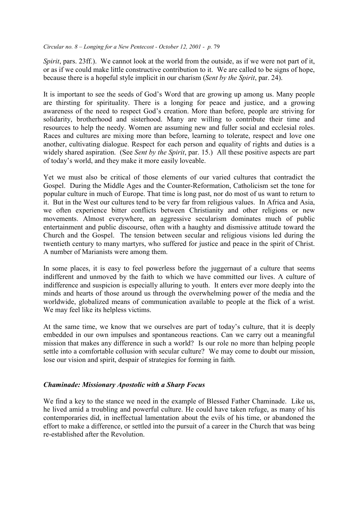*Spirit*, pars. 23ff.). We cannot look at the world from the outside, as if we were not part of it, or as if we could make little constructive contribution to it. We are called to be signs of hope, because there is a hopeful style implicit in our charism (*Sent by the Spirit*, par. 24).

It is important to see the seeds of God's Word that are growing up among us. Many people are thirsting for spirituality. There is a longing for peace and justice, and a growing awareness of the need to respect God's creation. More than before, people are striving for solidarity, brotherhood and sisterhood. Many are willing to contribute their time and resources to help the needy. Women are assuming new and fuller social and ecclesial roles. Races and cultures are mixing more than before, learning to tolerate, respect and love one another, cultivating dialogue. Respect for each person and equality of rights and duties is a widely shared aspiration. (See *Sent by the Spirit*, par. 15.) All these positive aspects are part of today's world, and they make it more easily loveable.

Yet we must also be critical of those elements of our varied cultures that contradict the Gospel. During the Middle Ages and the Counter-Reformation, Catholicism set the tone for popular culture in much of Europe. That time is long past, nor do most of us want to return to it. But in the West our cultures tend to be very far from religious values. In Africa and Asia, we often experience bitter conflicts between Christianity and other religions or new movements. Almost everywhere, an aggressive secularism dominates much of public entertainment and public discourse, often with a haughty and dismissive attitude toward the Church and the Gospel. The tension between secular and religious visions led during the twentieth century to many martyrs, who suffered for justice and peace in the spirit of Christ. A number of Marianists were among them.

In some places, it is easy to feel powerless before the juggernaut of a culture that seems indifferent and unmoved by the faith to which we have committed our lives. A culture of indifference and suspicion is especially alluring to youth. It enters ever more deeply into the minds and hearts of those around us through the overwhelming power of the media and the worldwide, globalized means of communication available to people at the flick of a wrist. We may feel like its helpless victims.

At the same time, we know that we ourselves are part of today's culture, that it is deeply embedded in our own impulses and spontaneous reactions. Can we carry out a meaningful mission that makes any difference in such a world? Is our role no more than helping people settle into a comfortable collusion with secular culture? We may come to doubt our mission, lose our vision and spirit, despair of strategies for forming in faith.

# *Chaminade: Missionary Apostolic with a Sharp Focus*

We find a key to the stance we need in the example of Blessed Father Chaminade. Like us, he lived amid a troubling and powerful culture. He could have taken refuge, as many of his contemporaries did, in ineffectual lamentation about the evils of his time, or abandoned the effort to make a difference, or settled into the pursuit of a career in the Church that was being re-established after the Revolution.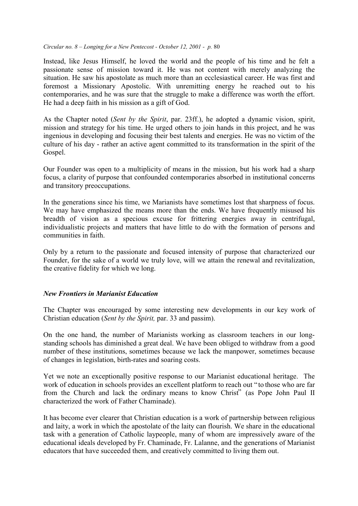Instead, like Jesus Himself, he loved the world and the people of his time and he felt a passionate sense of mission toward it. He was not content with merely analyzing the situation. He saw his apostolate as much more than an ecclesiastical career. He was first and foremost a Missionary Apostolic. With unremitting energy he reached out to his contemporaries, and he was sure that the struggle to make a difference was worth the effort. He had a deep faith in his mission as a gift of God.

As the Chapter noted (*Sent by the Spirit*, par. 23ff.), he adopted a dynamic vision, spirit, mission and strategy for his time. He urged others to join hands in this project, and he was ingenious in developing and focusing their best talents and energies. He was no victim of the culture of his day - rather an active agent committed to its transformation in the spirit of the Gospel.

Our Founder was open to a multiplicity of means in the mission, but his work had a sharp focus, a clarity of purpose that confounded contemporaries absorbed in institutional concerns and transitory preoccupations.

In the generations since his time, we Marianists have sometimes lost that sharpness of focus. We may have emphasized the means more than the ends. We have frequently misused his breadth of vision as a specious excuse for frittering energies away in centrifugal, individualistic projects and matters that have little to do with the formation of persons and communities in faith.

Only by a return to the passionate and focused intensity of purpose that characterized our Founder, for the sake of a world we truly love, will we attain the renewal and revitalization, the creative fidelity for which we long.

# *New Frontiers in Marianist Education*

The Chapter was encouraged by some interesting new developments in our key work of Christian education (*Sent by the Spirit,* par. 33 and passim).

On the one hand, the number of Marianists working as classroom teachers in our longstanding schools has diminished a great deal. We have been obliged to withdraw from a good number of these institutions, sometimes because we lack the manpower, sometimes because of changes in legislation, birth-rates and soaring costs.

Yet we note an exceptionally positive response to our Marianist educational heritage. The work of education in schools provides an excellent platform to reach out "to those who are far from the Church and lack the ordinary means to know Christ<sup>"</sup> (as Pope John Paul II characterized the work of Father Chaminade).

It has become ever clearer that Christian education is a work of partnership between religious and laity, a work in which the apostolate of the laity can flourish. We share in the educational task with a generation of Catholic laypeople, many of whom are impressively aware of the educational ideals developed by Fr. Chaminade, Fr. Lalanne, and the generations of Marianist educators that have succeeded them, and creatively committed to living them out.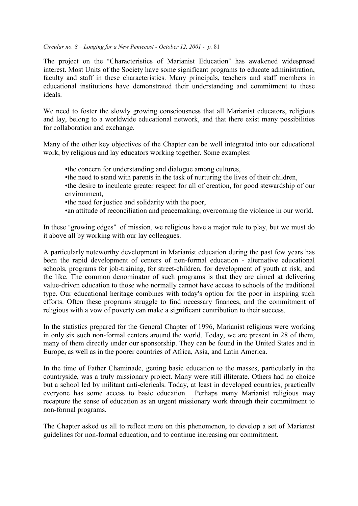The project on the "Characteristics of Marianist Education" has awakened widespread interest. Most Units of the Society have some significant programs to educate administration, faculty and staff in these characteristics. Many principals, teachers and staff members in educational institutions have demonstrated their understanding and commitment to these ideals.

We need to foster the slowly growing consciousness that all Marianist educators, religious and lay, belong to a worldwide educational network, and that there exist many possibilities for collaboration and exchange.

Many of the other key objectives of the Chapter can be well integrated into our educational work, by religious and lay educators working together. Some examples:

- the concern for understanding and dialogue among cultures,
- the need to stand with parents in the task of nurturing the lives of their children,
- the desire to inculcate greater respect for all of creation, for good stewardship of our environment,
- the need for justice and solidarity with the poor,
- an attitude of reconciliation and peacemaking, overcoming the violence in our world.

In these "growing edges" of mission, we religious have a major role to play, but we must do it above all by working with our lay colleagues.

A particularly noteworthy development in Marianist education during the past few years has been the rapid development of centers of non-formal education - alternative educational schools, programs for job-training, for street-children, for development of youth at risk, and the like. The common denominator of such programs is that they are aimed at delivering value-driven education to those who normally cannot have access to schools of the traditional type. Our educational heritage combines with today's option for the poor in inspiring such efforts. Often these programs struggle to find necessary finances, and the commitment of religious with a vow of poverty can make a significant contribution to their success.

In the statistics prepared for the General Chapter of 1996, Marianist religious were working in only six such non-formal centers around the world. Today, we are present in 28 of them, many of them directly under our sponsorship. They can be found in the United States and in Europe, as well as in the poorer countries of Africa, Asia, and Latin America.

In the time of Father Chaminade, getting basic education to the masses, particularly in the countryside, was a truly missionary project. Many were still illiterate. Others had no choice but a school led by militant anti-clericals. Today, at least in developed countries, practically everyone has some access to basic education. Perhaps many Marianist religious may recapture the sense of education as an urgent missionary work through their commitment to non-formal programs.

The Chapter asked us all to reflect more on this phenomenon, to develop a set of Marianist guidelines for non-formal education, and to continue increasing our commitment.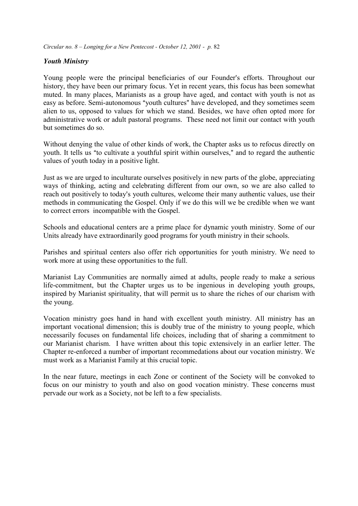# *Youth Ministry*

Young people were the principal beneficiaries of our Founder's efforts. Throughout our history, they have been our primary focus. Yet in recent years, this focus has been somewhat muted. In many places, Marianists as a group have aged, and contact with youth is not as easy as before. Semi-autonomous "vouth cultures" have developed, and they sometimes seem alien to us, opposed to values for which we stand. Besides, we have often opted more for administrative work or adult pastoral programs. These need not limit our contact with youth but sometimes do so.

Without denying the value of other kinds of work, the Chapter asks us to refocus directly on youth. It tells us "to cultivate a youthful spirit within ourselves," and to regard the authentic values of youth today in a positive light.

Just as we are urged to inculturate ourselves positively in new parts of the globe, appreciating ways of thinking, acting and celebrating different from our own, so we are also called to reach out positively to today's youth cultures, welcome their many authentic values, use their methods in communicating the Gospel. Only if we do this will we be credible when we want to correct errors incompatible with the Gospel.

Schools and educational centers are a prime place for dynamic youth ministry. Some of our Units already have extraordinarily good programs for youth ministry in their schools.

Parishes and spiritual centers also offer rich opportunities for youth ministry. We need to work more at using these opportunities to the full.

Marianist Lay Communities are normally aimed at adults, people ready to make a serious life-commitment, but the Chapter urges us to be ingenious in developing youth groups, inspired by Marianist spirituality, that will permit us to share the riches of our charism with the young.

Vocation ministry goes hand in hand with excellent youth ministry. All ministry has an important vocational dimension; this is doubly true of the ministry to young people, which necessarily focuses on fundamental life choices, including that of sharing a commitment to our Marianist charism. I have written about this topic extensively in an earlier letter. The Chapter re-enforced a number of important recommedations about our vocation ministry. We must work as a Marianist Family at this crucial topic.

In the near future, meetings in each Zone or continent of the Society will be convoked to focus on our ministry to youth and also on good vocation ministry. These concerns must pervade our work as a Society, not be left to a few specialists.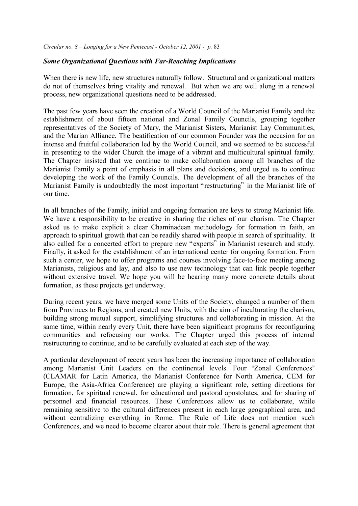# *Some Organizational Questions with Far-Reaching Implications*

When there is new life, new structures naturally follow. Structural and organizational matters do not of themselves bring vitality and renewal. But when we are well along in a renewal process, new organizational questions need to be addressed.

The past few years have seen the creation of a World Council of the Marianist Family and the establishment of about fifteen national and Zonal Family Councils, grouping together representatives of the Society of Mary, the Marianist Sisters, Marianist Lay Communities, and the Marian Alliance. The beatification of our common Founder was the occasion for an intense and fruitful collaboration led by the World Council, and we seemed to be successful in presenting to the wider Church the image of a vibrant and multicultural spiritual family. The Chapter insisted that we continue to make collaboration among all branches of the Marianist Family a point of emphasis in all plans and decisions, and urged us to continue developing the work of the Family Councils. The development of all the branches of the Marianist Family is undoubtedly the most important "restructuring" in the Marianist life of our time.

In all branches of the Family, initial and ongoing formation are keys to strong Marianist life. We have a responsibility to be creative in sharing the riches of our charism. The Chapter asked us to make explicit a clear Chaminadean methodology for formation in faith, an approach to spiritual growth that can be readily shared with people in search of spirituality. It also called for a concerted effort to prepare new "experts" in Marianist research and study. Finally, it asked for the establishment of an international center for ongoing formation. From such a center, we hope to offer programs and courses involving face-to-face meeting among Marianists, religious and lay, and also to use new technology that can link people together without extensive travel. We hope you will be hearing many more concrete details about formation, as these projects get underway.

During recent years, we have merged some Units of the Society, changed a number of them from Provinces to Regions, and created new Units, with the aim of inculturating the charism, building strong mutual support, simplifying structures and collaborating in mission. At the same time, within nearly every Unit, there have been significant programs for reconfiguring communities and refocusing our works. The Chapter urged this process of internal restructuring to continue, and to be carefully evaluated at each step of the way.

A particular development of recent years has been the increasing importance of collaboration among Marianist Unit Leaders on the continental levels. Four "Zonal Conferences" (CLAMAR for Latin America, the Marianist Conference for North America, CEM for Europe, the Asia-Africa Conference) are playing a significant role, setting directions for formation, for spiritual renewal, for educational and pastoral apostolates, and for sharing of personnel and financial resources. These Conferences allow us to collaborate, while remaining sensitive to the cultural differences present in each large geographical area, and without centralizing everything in Rome. The Rule of Life does not mention such Conferences, and we need to become clearer about their role. There is general agreement that